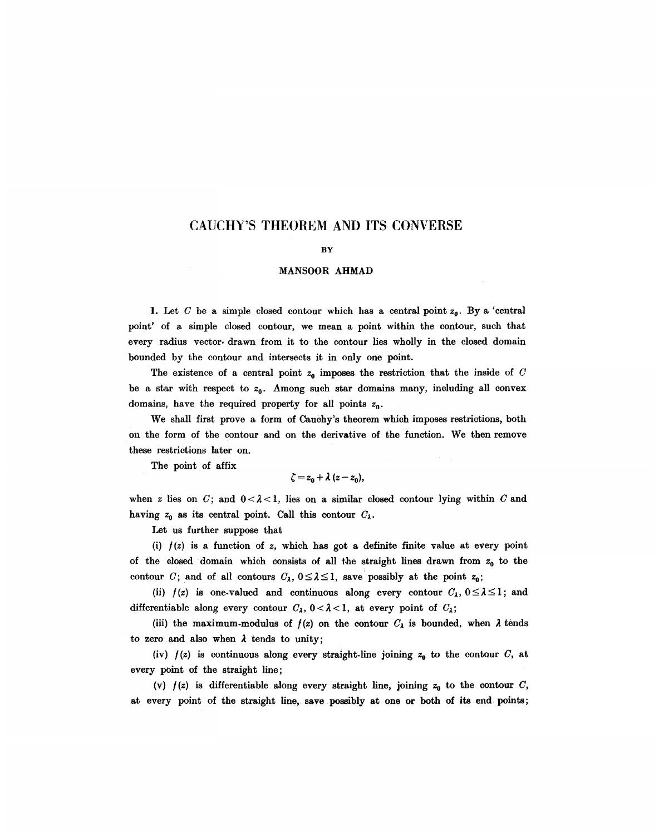# **CAUCHY'S THEOREM AND ITS CONVERSE**

#### BY

#### MANSOOR AHMAD

1. Let C be a simple closed contour which has a central point  $z_0$ . By a 'central point' of a simple closed contour, we mean a point within the contour, such that every radius vector, drawn from it to the contour lies wholly in the closed domain bounded by the contour and intersects it in only one point.

The existence of a central point  $z_0$  imposes the restriction that the inside of C be a star with respect to  $z_0$ . Among such star domains many, including all convex domains, have the required property for all points  $z_0$ .

We shall first prove a form of Cauchy's theorem which imposes restrictions, both on the form of the contour and on the derivative of the function. We then remove these restrictions later on.

The point of affix

$$
\zeta = z_0 + \lambda (z - z_0),
$$

when z lies on C; and  $0 < \lambda < 1$ , lies on a similar closed contour lying within C and having  $z_0$  as its central point. Call this contour  $C_\lambda$ .

Let us further suppose that

(i)  $f(z)$  is a function of z, which has got a definite finite value at every point of the closed domain which consists of all the straight lines drawn from  $z_0$  to the contour C; and of all contours  $C_\lambda$ ,  $0 \leq \lambda \leq 1$ , save possibly at the point  $z_0$ ;

(ii)  $f(z)$  is one-valued and continuous along every contour  $C_\lambda$ ,  $0 \leq \lambda \leq 1$ ; and differentiable along every contour  $C_{\lambda}$ ,  $0 < \lambda < 1$ , at every point of  $C_{\lambda}$ ;

(iii) the maximum-modulus of  $f(z)$  on the contour  $C_{\lambda}$  is bounded, when  $\lambda$  tends to zero and also when  $\lambda$  tends to unity;

(iv)  $f(z)$  is continuous along every straight-line joining  $z_0$  to the contour C, at every point of the straight line;

(v)  $f(z)$  is differentiable along every straight line, joining  $z_0$  to the contour C, at every point of the straight line, save possibly at one or both of its end points;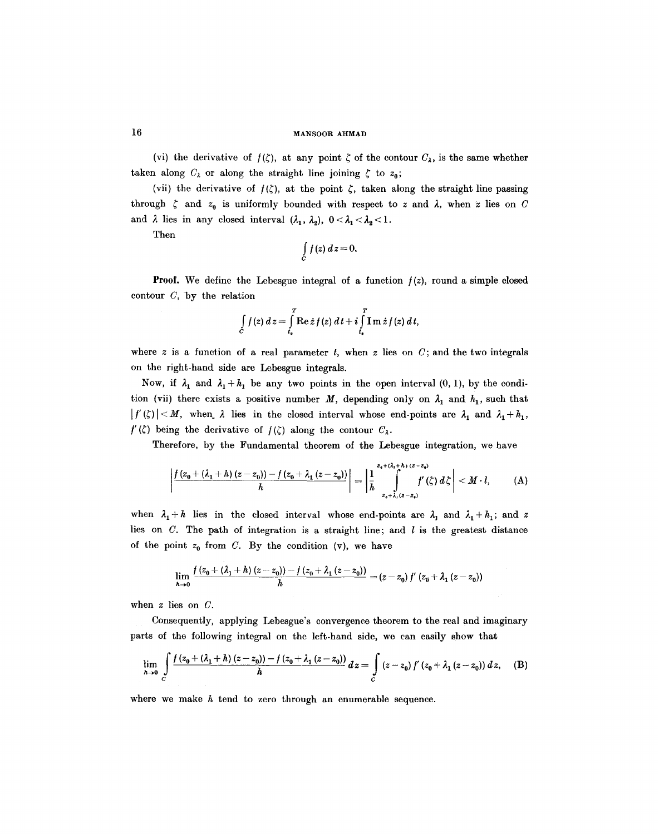## 16 MANS00R AHMAD

(vi) the derivative of  $f(\zeta)$ , at any point  $\zeta$  of the contour  $C_{\lambda}$ , is the same whether taken along  $C_{\lambda}$  or along the straight line joining  $\zeta$  to  $z_0$ ;

(vii) the derivative of  $f(\zeta)$ , at the point  $\zeta$ , taken along the straight line passing through  $\zeta$  and  $z_0$  is uniformly bounded with respect to z and  $\lambda$ , when z lies on C and  $\lambda$  lies in any closed interval  $(\lambda_1, \lambda_2), 0 < \lambda_1 < \lambda_2 < 1$ .

Then

$$
\int\limits_C f(z)\,dz=0.
$$

**Proof.** We define the Lebesgue integral of a function  $f(z)$ , round a simple closed contour  $C$ , by the relation

$$
\int\limits_{C} f(z) dz = \int\limits_{t_*}^T \operatorname{Re} z f(z) dt + i \int\limits_{t_*}^T \operatorname{Im} z f(z) dt,
$$

where  $z$  is a function of a real parameter  $t$ , when  $z$  lies on  $C$ ; and the two integrals on the right-hand side are Lebesgue integrals.

Now, if  $\lambda_1$  and  $\lambda_1 + h_1$  be any two points in the open interval (0, 1), by the condition (vii) there exists a positive number M, depending only on  $\lambda_1$  and  $h_1$ , such that  $|f'(\zeta)| < M$ , when  $\lambda$  lies in the closed interval whose end-points are  $\lambda_1$  and  $\lambda_1 + \lambda_1$ ,  $f'(\zeta)$  being the derivative of  $f(\zeta)$  along the contour  $C_{\lambda}$ .

Therefore, by the Fundamental theorem of the Lebesgue integration, we have

$$
\left|\frac{f(z_0+(\lambda_1+h)(z-z_0))-f(z_0+\lambda_1(z-z_0))}{h}\right|=\left|\frac{1}{h}\int_{z_0+\lambda_1(z-z_0)}^{z_0+(\lambda_1+h)(z-z_0)}f'(\zeta)\,d\zeta\right|
$$

when  $\lambda_1 + h$  lies in the closed interval whose end-points are  $\lambda_1$  and  $\lambda_1 + h_1$ ; and z lies on  $C$ . The path of integration is a straight line; and  $l$  is the greatest distance of the point  $z_0$  from C. By the condition (v), we have

$$
\lim_{h\to 0}\frac{f(z_0+(\lambda_1+h)(z-z_0))-f(z_0+\lambda_1(z-z_0))}{h}=(z-z_0)f'(z_0+\lambda_1(z-z_0))
$$

when z lies on C.

Consequently, applying Lebesgue's convergence theorem to the real and imaginary parts of the following integral on the left-hand side, we can easily show that

$$
\lim_{h \to 0} \int_{C} \frac{f(z_0 + (\lambda_1 + h)(z - z_0)) - f(z_0 + \lambda_1(z - z_0))}{h} dz = \int_{C} (z - z_0) f'(z_0 + \lambda_1(z - z_0)) dz, \quad (B)
$$

where we make  $h$  tend to zero through an enumerable sequence.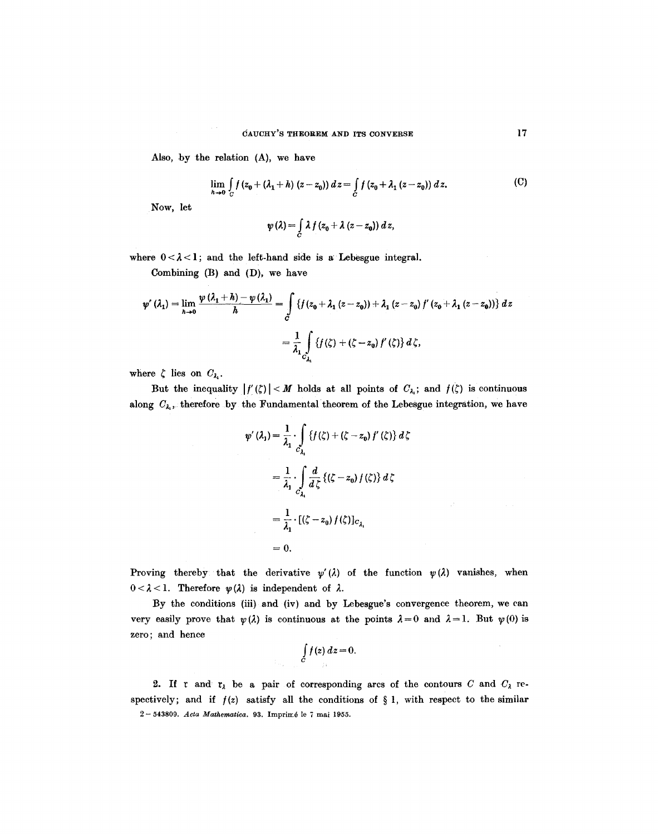Also, by the relation (A), we have

$$
\lim_{h \to 0} \int_C f(z_0 + (\lambda_1 + h) (z - z_0)) dz = \int_C f(z_0 + \lambda_1 (z - z_0)) dz.
$$
 (C)

Now, let

$$
\psi(\lambda) = \int\limits_C \lambda f(z_0 + \lambda (z - z_0)) dz,
$$

where  $0 < \lambda < 1$ ; and the left-hand side is a Lebesgue integral.

Combining (B) and (D), we have

$$
\psi'( \lambda_1 ) = \lim_{h \to 0} \frac{\psi(\lambda_1 + h) - \psi(\lambda_1)}{h} = \int_{C} \left\{ f(z_0 + \lambda_1 (z - z_0)) + \lambda_1 (z - z_0) f'(z_0 + \lambda_1 (z - z_0)) \right\} dz
$$

$$
= \frac{1}{\lambda_1} \int_{C_{\lambda_1}} \left\{ f(\zeta) + (\zeta - z_0) f'(\zeta) \right\} d\zeta,
$$

where  $\zeta$  lies on  $C_{\lambda}$ .

But the inequality  $|f'(\zeta)| < M$  holds at all points of  $C_{\lambda_i}$ ; and  $f(\zeta)$  is continuous along  $C_{\lambda_i}$ , therefore by the Fundamental theorem of the Lebesgue integration, we have

$$
\psi'(\lambda_1) = \frac{1}{\lambda_1} \cdot \int_{\lambda_1} \{f(\zeta) + (\zeta - z_0) f'(\zeta)\} d\zeta
$$
  
=  $\frac{1}{\lambda_1} \cdot \int_{C_{\lambda_1}} \frac{d}{d\zeta} \{(\zeta - z_0) f(\zeta)\} d\zeta$   
=  $\frac{1}{\lambda_1} \cdot [(\zeta - z_0) f(\zeta)]_{C_{\lambda_1}}$   
= 0.

 $\sim 10^7$ 

 $\bar{\omega}$ 

Proving thereby that the derivative  $\psi'(\lambda)$  of the function  $\psi(\lambda)$  vanishes, when  $0 < \lambda < 1$ . Therefore  $\psi(\lambda)$  is independent of  $\lambda$ .

By the conditions (iii) and (iv) and by Lebesgue's convergence theorem, we can very easily prove that  $\psi(\lambda)$  is continuous at the points  $\lambda=0$  and  $\lambda=1$ . But  $\psi(0)$  is zero; and hence

$$
\int\limits_C f(z)\,dz=0.
$$

2. If r and  $r_{\lambda}$  be a pair of corresponding arcs of the contours C and  $C_{\lambda}$  respectively; and if  $f(z)$  satisfy all the conditions of § 1, with respect to the similar 2- 543809. *Acta Mathematica.* 93. Imprim6 le 7 mai 1955.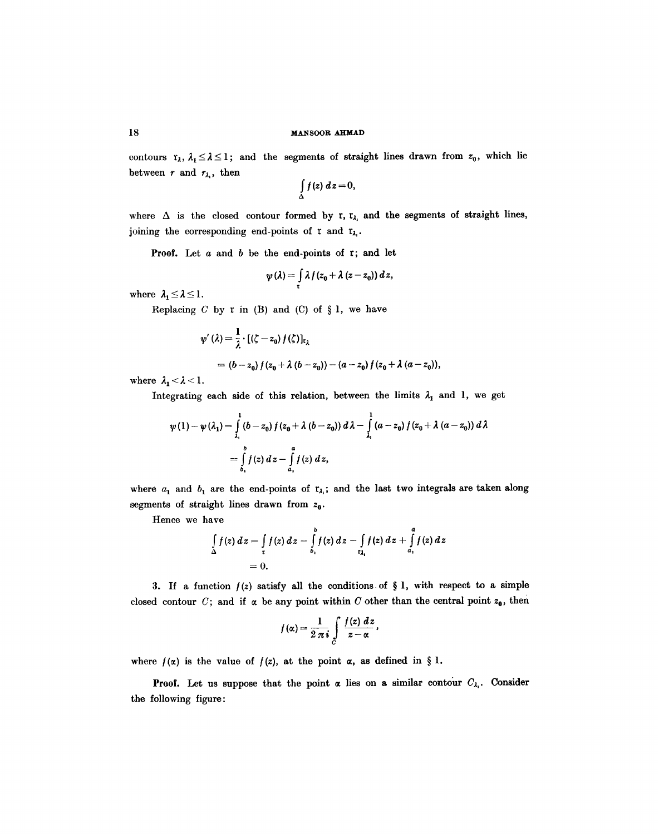### **18 MANSOOR AHMAD**

contours  $r_\lambda$ ,  $\lambda_1 \leq \lambda \leq 1$ ; and the segments of straight lines drawn from  $z_0$ , which lie between r and  $r_{\lambda_i}$ , then

$$
\int\limits_{\Delta} f(z) dz = 0,
$$

where  $\Delta$  is the closed contour formed by r,  $r_{\lambda_1}$  and the segments of straight lines, joining the corresponding end-points of r and  $r_{\lambda_i}$ .

**Proof.** Let  $a$  and  $b$  be the end-points of  $r$ ; and let

$$
\psi(\lambda) = \int\limits_{\tau} \lambda f(z_0 + \lambda (z - z_0)) dz,
$$

where  $\lambda_1 \leq \lambda \leq 1$ .

Replacing  $C$  by  $r$  in (B) and (C) of  $\S 1$ , we have

$$
\begin{aligned} \psi' \left( \lambda \right) &= \frac{1}{\lambda} \cdot \left[ \left( \zeta - z_0 \right) f \left( \zeta \right) \right]_{\mathfrak{k}_{\lambda}} \\ &= \left( b - z_0 \right) f \left( z_0 + \lambda \left( b - z_0 \right) \right) - \left( a - z_0 \right) f \left( z_0 + \lambda \left( a - z_0 \right) \right), \end{aligned}
$$

where  $\lambda_1 < \lambda < 1$ .

Integrating each side of this relation, between the limits  $\lambda_1$  and 1, we get

$$
\psi(1) - \psi(\lambda_1) = \int_{\lambda_1}^{1} (b - z_0) f(z_0 + \lambda (b - z_0)) d\lambda - \int_{\lambda_1}^{1} (a - z_0) f(z_0 + \lambda (a - z_0)) d\lambda
$$
  
= 
$$
\int_{b_1}^{b} f(z) dz - \int_{a_1}^{a} f(z) dz,
$$

where  $a_1$  and  $b_1$  are the end-points of  $r_{\lambda_i}$ ; and the last two integrals are taken along segments of straight lines drawn from  $z_0$ .

Hence we have

$$
\int_{\Delta} f(z) dz = \int_{\tau} f(z) dz - \int_{b_1}^{b} f(z) dz - \int_{\tau_{\lambda_1}} f(z) dz + \int_{a_1}^{a} f(z) dz
$$
  
= 0.

3. If a function  $f(z)$  satisfy all the conditions of § 1, with respect to a simple closed contour C; and if  $\alpha$  be any point within C other than the central point  $z_0$ , then

$$
f(\alpha) = \frac{1}{2 \pi i} \int\limits_C \frac{f(z) \; dz}{z - \alpha} \, ,
$$

where  $f(x)$  is the value of  $f(z)$ , at the point  $\alpha$ , as defined in § 1.

**Proof.** Let us suppose that the point  $\alpha$  lies on a similar contour  $C_{\lambda_1}$ . Consider the following figure: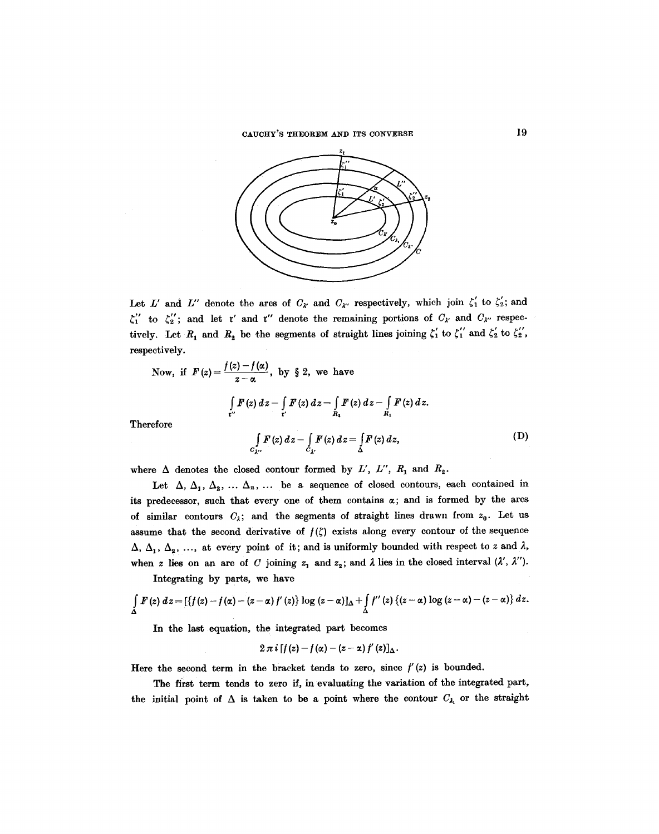CAUCHY'S THEOREM AND ITS CONVERSE 19



Let L' and L" denote the arcs of  $C_{\lambda'}$  and  $C_{\lambda''}$  respectively, which join  $\zeta'_1$  to  $\zeta'_2$ ; and  $\zeta_1''$  to  $\zeta_2''$ ; and let r' and r'' denote the remaining portions of  $C_{\lambda'}$  and  $C_{\lambda''}$  respectively. Let  $R_1$  and  $R_2$  be the segments of straight lines joining  $\zeta_1'$  to  $\zeta_1''$  and  $\zeta_2'$  to  $\zeta_2''$ , respectively.

Now, if 
$$
F(z) = \frac{f(z) - f(\alpha)}{z - \alpha}
$$
, by § 2, we have  
\n
$$
\int_{\mathbf{r}'} F(z) dz - \int_{\mathbf{r}'} F(z) dz = \int_{R_1} F(z) dz - \int_{R_1} F(z) dz.
$$
\n  
\nreference  
\n
$$
\int_{C_{\lambda'}} F(z) dz - \int_{C_{\lambda'}} F(z) dz = \int_{\Delta} F(z) dz,
$$
\n(D)

Ther

where  $\Delta$  denotes the closed contour formed by *L'*, *L''*,  $R_1$  and  $R_2$ .

Let  $\Delta$ ,  $\Delta_1$ ,  $\Delta_2$ , ...  $\Delta_n$ , ... be a sequence of closed contours, each contained in its predecessor, such that every one of them contains  $\alpha$ ; and is formed by the arcs of similar contours  $C_{\lambda}$ ; and the segments of straight lines drawn from  $z_0$ . Let us assume that the second derivative of  $f(\zeta)$  exists along every contour of the sequence  $\Delta$ ,  $\Delta$ <sub>1</sub>,  $\Delta$ <sub>2</sub>, ..., at every point of it; and is uniformly bounded with respect to z and  $\lambda$ , when z lies on an arc of C joining  $z_1$  and  $z_2$ ; and  $\lambda$  lies in the closed interval  $(\lambda', \lambda'')$ .

Integrating by parts, we have

$$
\int\limits_{\Delta} F(z) dz = \left[ \left\{ f(z) - f(\alpha) - (z - \alpha) f'(z) \right\} \log (z - \alpha) \right]_{\Delta} + \int\limits_{\Delta} f''(z) \left\{ (z - \alpha) \log (z - \alpha) - (z - \alpha) \right\} dz.
$$

In the last equation, the integrated part becomes

$$
2\pi i\left[f(z)-f(\alpha)-(z-\alpha)f'(z)\right]_{\Delta}.
$$

Here the second term in the bracket tends to zero, since  $f'(z)$  is bounded.

The first term tends to zero if, in evaluating the variation of the integrated part, the initial point of  $\Delta$  is taken to be a point where the contour  $C_{\lambda_1}$  or the straight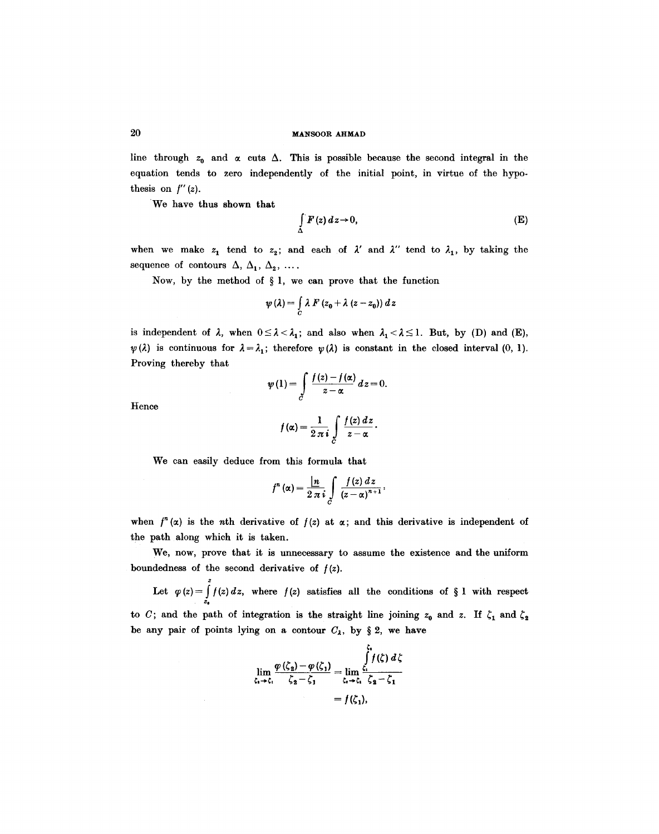line through  $z_0$  and  $\alpha$  cuts  $\Delta$ . This is possible because the second integral in the equation tends to zero independently of the initial point, in virtue of the hypothesis on  $f''(z)$ .

We have thus shown that

$$
\int_{\Delta} F(z) dz \to 0, \tag{E}
$$

when we make  $z_1$  tend to  $z_2$ ; and each of  $\lambda'$  and  $\lambda''$  tend to  $\lambda_1$ , by taking the sequence of contours  $\Delta$ ,  $\Delta_1$ ,  $\Delta_2$ , ....

Now, by the method of  $\S 1$ , we can prove that the function

$$
\psi(\lambda) = \int\limits_C \lambda F(z_0 + \lambda (z - z_0)) dz
$$

is independent of  $\lambda$ , when  $0 \leq \lambda < \lambda_1$ ; and also when  $\lambda_1 < \lambda \leq 1$ . But, by (D) and (E),  $\psi(\lambda)$  is continuous for  $\lambda = \lambda_1$ ; therefore  $\psi(\lambda)$  is constant in the closed interval (0, 1). Proving thereby that

$$
\psi(1) = \int\limits_{C} \frac{f(z) - f(\alpha)}{z - \alpha} dz = 0.
$$

Hence

$$
f(\alpha) = \frac{1}{2 \pi i} \int\limits_C \frac{f(z) dz}{z - \alpha}.
$$

We can easily deduce from this formula that

$$
f^{n}(\alpha) = \frac{\ln}{2 \pi i} \int\limits_{C} \frac{f(z) dz}{(z-\alpha)^{n+1}},
$$

when  $f^{n}(x)$  is the *n*th derivative of  $f(z)$  at  $\alpha$ ; and this derivative is independent of the path along which it is taken.

We, now, prove that it is unnecessary to assume the existence and the uniform boundedness of the second derivative of */(z).* 

Z Let  $\varphi(z) = \int f(z) dz$ , where  $f(z)$  satisfies all the conditions of § 1 with respect to C; and the path of integration is the straight line joining  $z_0$  and z. If  $\zeta_1$  and  $\zeta_2$ be any pair of points lying on a contour  $C_{\lambda}$ , by § 2, we have

$$
\lim_{\zeta_1 \to \zeta_1} \frac{\varphi(\zeta_2) - \varphi(\zeta_1)}{\zeta_2 - \zeta_1} = \lim_{\zeta_1 \to \zeta_1} \frac{\int_{\zeta_1}^{\zeta_1} f(\zeta) d\zeta}{\zeta_2 - \zeta_1}
$$

$$
= f(\zeta_1),
$$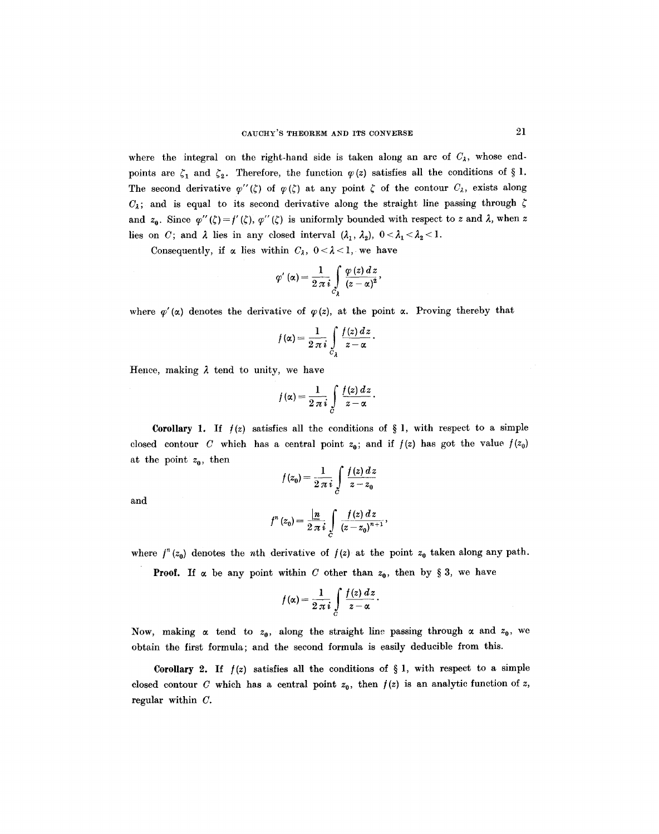where the integral on the right-hand side is taken along an arc of  $C<sub>A</sub>$ , whose endpoints are  $\zeta_1$  and  $\zeta_2$ . Therefore, the function  $\varphi(z)$  satisfies all the conditions of § 1. The second derivative  $\varphi''(\zeta)$  of  $\varphi(\zeta)$  at any point  $\zeta$  of the contour  $C_{\lambda}$ , exists along  $C_4$ ; and is equal to its second derivative along the straight line passing through  $\zeta$ and  $z_0$ . Since  $\varphi''(\zeta) = f'(\zeta), \varphi''(\zeta)$  is uniformly bounded with respect to z and  $\lambda$ , when z lies on C; and  $\lambda$  lies in any closed interval  $(\lambda_1, \lambda_2)$ ,  $0 < \lambda_1 < \lambda_2 < 1$ .

Consequently, if  $\alpha$  lies within  $C_{\lambda}$ ,  $0 < \lambda < 1$ , we have

$$
\varphi'(\alpha) = \frac{1}{2\pi i} \int\limits_{C_2} \frac{\varphi(z)\,dz}{(z-\alpha)^2},
$$

where  $\varphi'(\alpha)$  denotes the derivative of  $\varphi(z)$ , at the point  $\alpha$ . Proving thereby that

$$
f(\alpha) = \frac{1}{2\pi i} \int\limits_{C_{\lambda}} \frac{f(z) dz}{z - \alpha}.
$$

Hence, making  $\lambda$  tend to unity, we have

$$
f(\alpha) = \frac{1}{2 \pi i} \int\limits_C \frac{f(z) \, dz}{z - \alpha} \, .
$$

**Corollary 1.** If  $f(z)$  satisfies all the conditions of § 1, with respect to a simple closed contour C which has a central point  $z_0$ ; and if  $f(z)$  has got the value  $f(z_0)$ at the point  $z_0$ , then

$$
f(z_0) = \frac{1}{2\pi i} \int\limits_C \frac{f(z)\,dz}{z - z_0}
$$

and

$$
f^{n}(z_{0}) = \frac{\ln}{2 \pi i} \int\limits_{C} \frac{f(z) dz}{(z - z_{0})^{n+1}},
$$

where  $f^{n}(z_0)$  denotes the nth derivative of  $f(z)$  at the point  $z_0$  taken along any path.

**Proof.** If  $\alpha$  be any point within C other than  $z_0$ , then by § 3, we have

$$
f(\alpha) = \frac{1}{2\pi i} \int\limits_C \frac{f(z) dz}{z-\alpha}.
$$

Now, making  $\alpha$  tend to  $z_0$ , along the straight line passing through  $\alpha$  and  $z_0$ , we obtain the first formula; and the second formula is easily deducible from this.

Corollary 2. If  $f(z)$  satisfies all the conditions of § 1, with respect to a simple closed contour C which has a central point  $z_0$ , then  $f(z)$  is an analytic function of z, regular within C.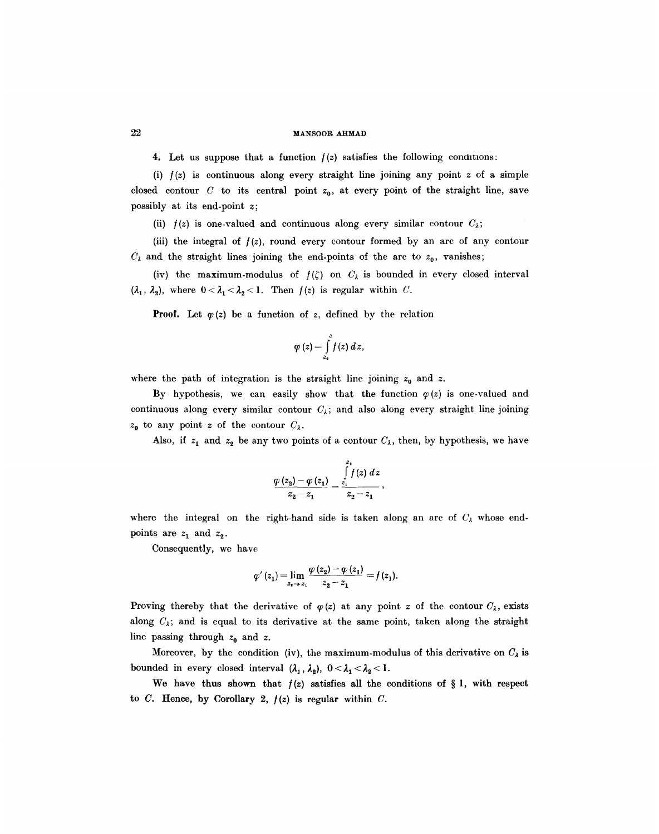### 22 MANS00R AHMAD

4. Let us suppose that a function  $f(z)$  satisfies the following conditions:

(i)  $f(z)$  is continuous along every straight line joining any point z of a simple closed contour C to its central point  $z_0$ , at every point of the straight line, save possibly at its end-point z;

(ii)  $f(z)$  is one-valued and continuous along every similar contour  $C_{\lambda}$ ;

(iii) the integral of  $f(z)$ , round every contour formed by an arc of any contour  $C_{\lambda}$  and the straight lines joining the end-points of the arc to  $z_0$ , vanishes;

(iv) the maximum-modulus of  $f(\zeta)$  on  $C_{\lambda}$  is bounded in every closed interval  $(\lambda_1, \lambda_2)$ , where  $0 < \lambda_1 < \lambda_2 < 1$ . Then  $f(z)$  is regular within C.

**Proof.** Let  $\varphi(z)$  be a function of z, defined by the relation

$$
\varphi(z) = \int\limits_{z_0}^{z} f(z) dz,
$$

where the path of integration is the straight line joining  $z_0$  and z.

By hypothesis, we can easily show that the function  $\varphi(z)$  is one-valued and continuous along every similar contour  $C_{\lambda}$ ; and also along every straight line joining  $z_0$  to any point z of the contour  $C_{\lambda}$ .

Also, if  $z_1$  and  $z_2$  be any two points of a contour  $C_\lambda$ , then, by hypothesis, we have

$$
\frac{\varphi(z_2)-\varphi(z_1)}{z_2-z_1}=\frac{\int\limits_{z_1}^{z_1}f(z)\,dz}{z_2-z_1},
$$

where the integral on the right-hand side is taken along an arc of  $C_{\lambda}$  whose endpoints are  $z_1$  and  $z_2$ .

Consequently, we have

$$
\varphi'(z_1) = \lim_{z_1 \to z_1} \frac{\varphi(z_2) - \varphi(z_1)}{z_2 - z_1} = f(z_1).
$$

Proving thereby that the derivative of  $\varphi(z)$  at any point z of the contour  $C_{\lambda}$ , exists along  $C_{\lambda}$ ; and is equal to its derivative at the same point, taken along the straight line passing through  $z_0$  and z.

Moreover, by the condition (iv), the maximum-modulus of this derivative on  $C_{\lambda}$  is bounded in every closed interval  $(\lambda_1, \lambda_2)$ ,  $0 < \lambda_1 < \lambda_2 < 1$ .

We have thus shown that  $f(z)$  satisfies all the conditions of § 1, with respect to  $C$ . Hence, by Corollary 2,  $f(z)$  is regular within  $C$ .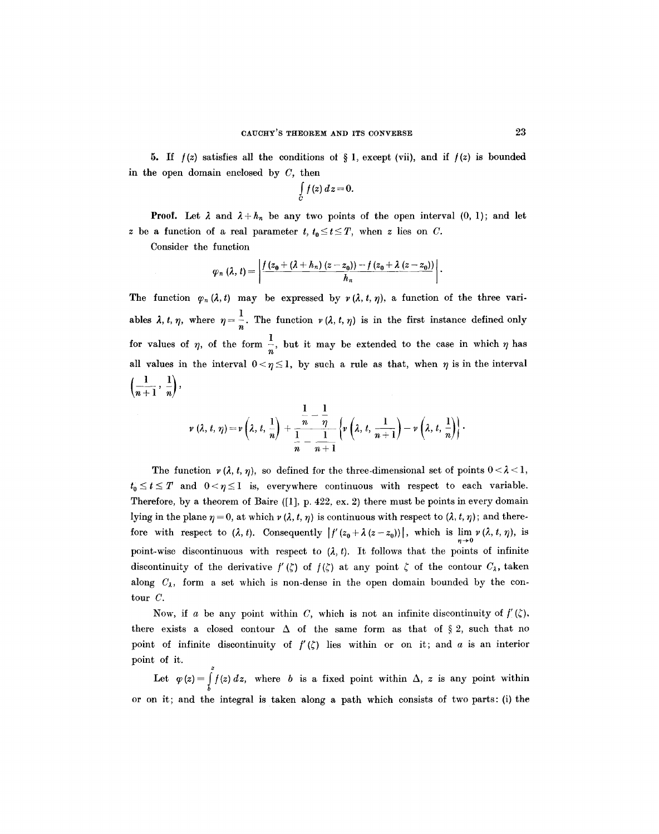**5.** If  $f(z)$  satisfies all the conditions of § 1, except (vii), and if  $f(z)$  is bounded in the open domain enclosed by  $C$ , then

$$
\int\limits_C f(z)\,dz=0.
$$

**Proof.** Let  $\lambda$  and  $\lambda + h_n$  be any two points of the open interval  $(0, 1)$ ; and let z be a function of a real parameter t,  $t_0 \le t \le T$ , when z lies on C.

Consider the function

$$
\varphi_n(\lambda, t) = \left| \frac{f(z_0 + (\lambda + h_n)(z - z_0)) - f(z_0 + \lambda (z - z_0))}{h_n} \right|.
$$

The function  $\varphi_n (\lambda, t)$  may be expressed by  $\nu (\lambda, t, \eta)$ , a function of the three variables  $\lambda$ ,  $t$ ,  $\eta$ , where  $\eta = \frac{1}{n}$ . The function  $\nu (\lambda, t, \eta)$  is in the first instance defined only for values of  $\eta$ , of the form  $\frac{1}{n}$ , but it may be extended to the case in which  $\eta$  has all values in the interval  $0 < \eta \leq 1$ , by such a rule as that, when  $\eta$  is in the interval  $\left(\frac{1}{n+1},\frac{1}{n}\right)$ 

$$
\nu(\lambda, t, \eta) = \nu\left(\lambda, t, \frac{1}{n}\right) + \frac{\frac{1}{n} - \frac{1}{\eta}}{\frac{1}{n} - \frac{1}{n+1}} \left\{\nu\left(\lambda, t, \frac{1}{n+1}\right) - \nu\left(\lambda, t, \frac{1}{n}\right)\right\}.
$$

The function  $\nu(\lambda, t, \eta)$ , so defined for the three-dimensional set of points  $0 < \lambda < 1$ ,  $t_0 \le t \le T$  and  $0 < \eta \le 1$  is, everywhere continuous with respect to each variable. Therefore, by a theorem of Baire ([1], p. 422, ex. 2) there must be points in every domain lying in the plane  $\eta = 0$ , at which  $\nu(\lambda, t, \eta)$  is continuous with respect to  $(\lambda, t, \eta)$ ; and therefore with respect to  $(\lambda, t)$ . Consequently  $\left|f'(z_0 + \lambda (z - z_0))\right|$ , which is  $\lim_{\eta \to 0} \nu (\lambda, t, \eta)$ , is point-wise discontinuous with respect to  $(\lambda, t)$ . It follows that the points of infinite discontinuity of the derivative  $f'(\zeta)$  of  $f(\zeta)$  at any point  $\zeta$  of the contour  $C_{\lambda}$ , taken along  $C_{\lambda}$ , form a set which is non-dense in the open domain bounded by the contour C.

Now, if a be any point within C, which is not an infinite discontinuity of  $f'(z)$ , there exists a closed contour  $\Delta$  of the same form as that of § 2, such that no point of infinite discontinuity of  $f'(\zeta)$  lies within or on it; and a is an interior point of it. z

Let  $\varphi(z) = f(z) dz$ , where b is a fixed point within  $\Delta$ , z is any point within b or on it; and the integral is taken along a path which consists of two parts: (i) the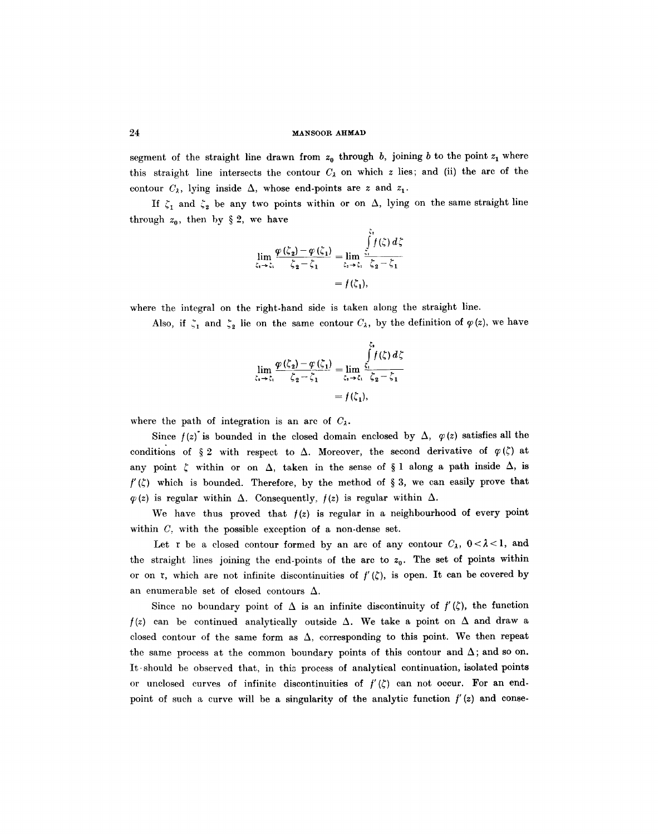### 24 MANSOOR AHMAD

segment of the straight line drawn from  $z_0$  through b, joining b to the point  $z_1$  where this straight line intersects the contour  $C_{\lambda}$  on which z lies; and (ii) the arc of the contour  $C_{\lambda}$ , lying inside  $\Delta$ , whose end-points are z and  $z_1$ .

If  $\zeta_1$  and  $\zeta_2$  be any two points within or on  $\Delta$ , lying on the same straight line through  $z_0$ , then by § 2, we have

$$
\lim_{\zeta_1 \to \zeta_1} \frac{\varphi(\zeta_2) - \varphi(\zeta_1)}{\zeta_2 - \zeta_1} = \lim_{\zeta_1 \to \zeta_1} \frac{\int_{\zeta_1}^{z_1} f(\zeta) d\zeta}{\zeta_2 - \zeta_1}
$$

$$
= f(\zeta_1),
$$

where the integral on the right-hand side is taken along the straight line.

Also, if  $\zeta_1$  and  $\zeta_2$  lie on the same contour  $C_\lambda$ , by the definition of  $\varphi(z)$ , we have

$$
\lim_{\zeta_2 \to \zeta_1} \frac{\varphi(\zeta_2) - \varphi(\zeta_1)}{\zeta_2 - \zeta_1} = \lim_{\zeta_2 \to \zeta_1} \frac{\int_{\zeta_1}^{\zeta_1} f(\zeta) d\zeta}{\zeta_2 - \zeta_1}
$$

$$
= f(\zeta_1),
$$

where the path of integration is an arc of  $C_{\lambda}$ .

Since  $f(z)$  is bounded in the closed domain enclosed by  $\Delta$ ,  $\varphi(z)$  satisfies all the conditions of  $\S 2$  with respect to  $\Delta$ . Moreover, the second derivative of  $\varphi(\zeta)$  at any point  $\zeta$  within or on  $\Delta$ , taken in the sense of § 1 along a path inside  $\Delta$ , is  $f'(\zeta)$  which is bounded. Therefore, by the method of § 3, we can easily prove that  $\varphi(z)$  is regular within  $\Delta$ . Consequently,  $f(z)$  is regular within  $\Delta$ .

We have thus proved that  $f(z)$  is regular in a neighbourhood of every point within *C,* with the possible exception of a non-dense set.

Let r be a closed contour formed by an arc of any contour  $C_{\lambda}$ ,  $0 < \lambda < 1$ , and the straight lines joining the end-points of the arc to  $z_0$ . The set of points within or on r, which are not infinite discontinuities of  $f'(\zeta)$ , is open. It can be covered by an enumerable set of closed contours  $\Delta$ .

Since no boundary point of  $\Delta$  is an infinite discontinuity of  $f'(\zeta)$ , the function  $f(z)$  can be continued analytically outside  $\Delta$ . We take a point on  $\Delta$  and draw a closed contour of the same form as  $\Delta$ , corresponding to this point. We then repeat the same process at the common boundary points of this contour and  $\Delta$ ; and so on. It .should be observed that, in this process of analytical continuation, isolated points or unclosed curves of infinite discontinuities of  $f'(\zeta)$  can not occur. For an endpoint of such a curve will be a singularity of the analytic function  $f'(z)$  and conse